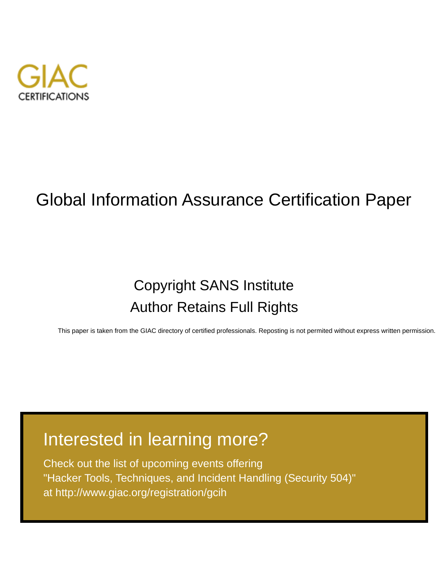

# Global Information Assurance Certification Paper

# Copyright SANS Institute [Author Retains Full Rights](http://www.giac.org)

This paper is taken from the GIAC directory of certified professionals. Reposting is not permited without express written permission.

# [Interested in learning more?](http://www.giac.org/registration/gcih)

Check out the list of upcoming events offering "Hacker Tools, Techniques, and Incident Handling (Security 504)" at http://www.giac.org/registration/gcih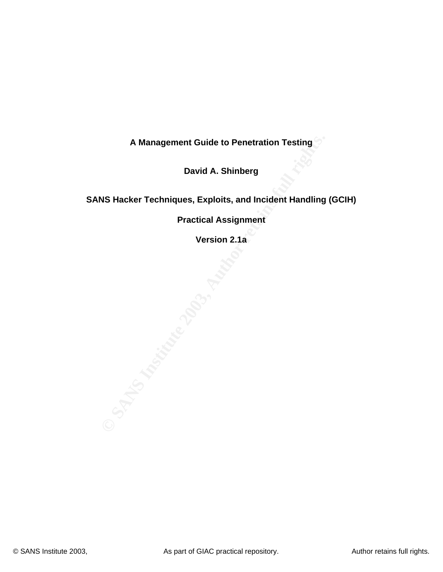**A Management Guide to Penetration Testing**

**David A. Shinberg**

**SANS Hacker Techniques, Exploits, and Incident Handling (GCIH)** 

**Practical Assignment**

**SANS Institute 2003, Authorities Version 2.1a**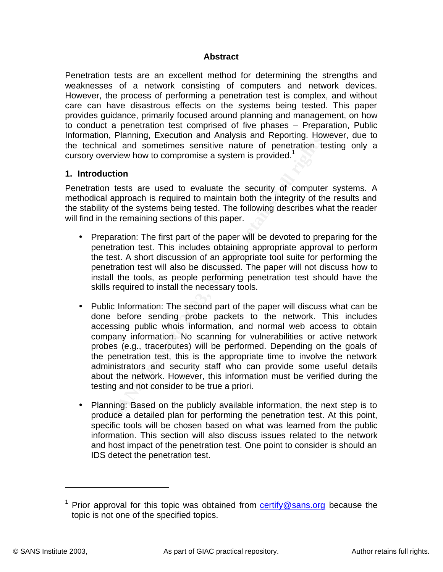## **Example 26 Fa27 Abstract**

Penetration tests are an excellent method for determining the strengths and weaknesses of a network consisting of computers and network devices. However, the process of performing a penetration test is complex, and without care can have disastrous effects on the systems being tested. This paper provides guidance, primarily focused around planning and management, on how to conduct a penetration test comprised of five phases – Preparation, Public Information, Planning, Execution and Analysis and Reporting. However, due to the technical and sometimes sensitive nature of penetration testing only a cursory overview how to compromise a system is provided.<sup>1</sup>

#### **1. Introduction**

Penetration tests are used to evaluate the security of computer systems. A methodical approach is required to maintain both the integrity of the results and the stability of the systems being tested. The following describes what the reader will find in the remaining sections of this paper.

- Preparation: The first part of the paper will be devoted to preparing for the penetration test. This includes obtaining appropriate approval to perform the test. A short discussion of an appropriate tool suite for performing the penetration test will also be discussed. The paper will not discuss how to install the tools, as people performing penetration test should have the skills required to install the necessary tools.
- on, Framining: Laeoutoni and Antalysis and repotancy into the condition on tests are used to evaluate the security of computeries verview how to compromise a system is provided.<sup>1</sup><br>**Auction**<br>on tests are used to evaluate t • Public Information: The second part of the paper will discuss what can be done before sending probe packets to the network. This includes accessing public whois information, and normal web access to obtain company information. No scanning for vulnerabilities or active network probes (e.g., traceroutes) will be performed. Depending on the goals of the penetration test, this is the appropriate time to involve the network administrators and security staff who can provide some useful details about the network. However, this information must be verified during the testing and not consider to be true a priori.
- Planning: Based on the publicly available information, the next step is to produce a detailed plan for performing the penetration test. At this point, specific tools will be chosen based on what was learned from the public information. This section will also discuss issues related to the network and host impact of the penetration test. One point to consider is should an IDS detect the penetration test.

<sup>&</sup>lt;sup>1</sup> Prior approval for this topic was obtained from **certify@sans.org** because the topic is not one of the specified topics.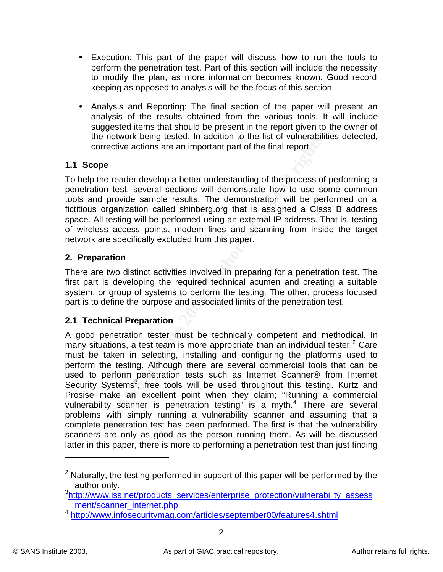- Execution: This part of the paper will discuss how to run the tools to perform the penetration test. Part of this section will include the necessity to modify the plan, as more information becomes known. Good record keeping as opposed to analysis will be the focus of this section.
	- Analysis and Reporting: The final section of the paper will present an analysis of the results obtained from the various tools. It will include suggested items that should be present in the report given to the owner of the network being tested. In addition to the list of vulnerabilities detected, corrective actions are an important part of the final report.

# **1.1 Scope**

To help the reader develop a better understanding of the process of performing a penetration test, several sections will demonstrate how to use some common tools and provide sample results. The demonstration will be performed on a fictitious organization called shinberg.org that is assigned a Class B address space. All testing will be performed using an external IP address. That is, testing of wireless access points, modem lines and scanning from inside the target network are specifically excluded from this paper.

## **2. Preparation**

There are two distinct activities involved in preparing for a penetration test. The first part is developing the required technical acumen and creating a suitable system, or group of systems to perform the testing. The other, process focused part is to define the purpose and associated limits of the penetration test.

## **2.1 Technical Preparation**

**EXECT THE SANS INTERT CONDUCT THE SAND THE SAND THE SAND POSTED THE SAND POSTED THE SAND POSTED THE SAND POSTED THE SAND POSTED THE SAND THE SAND THE SAND THE SAND THE SAND THE SAND THE SAND THE SAND THE SAND THE SAND SAN** A good penetration tester must be technically competent and methodical. In many situations, a test team is more appropriate than an individual tester.<sup>2</sup> Care must be taken in selecting, installing and configuring the platforms used to perform the testing. Although there are several commercial tools that can be used to perform penetration tests such as Internet Scanner® from Internet Security Systems<sup>3</sup>, free tools will be used throughout this testing. Kurtz and Prosise make an excellent point when they claim; "Running a commercial vulnerability scanner is penetration testing" is a myth.<sup>4</sup> There are several problems with simply running a vulnerability scanner and assuming that a complete penetration test has been performed. The first is that the vulnerability scanners are only as good as the person running them. As will be discussed latter in this paper, there is more to performing a penetration test than just finding

 $2$  Naturally, the testing performed in support of this paper will be performed by the author only.

<sup>&</sup>lt;sup>3</sup>http://www.iss.net/products\_services/enterprise\_protection/vulnerability\_assess ment/scanner\_internet.php

<sup>4</sup> http://www.infosecuritymag.com/articles/september00/features4.shtml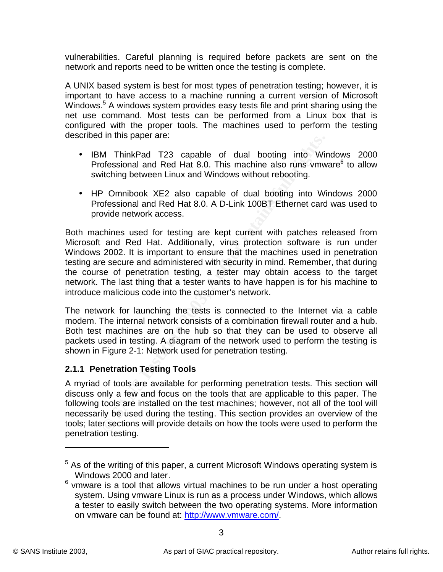vulnerabilities. Careful planning is required before packets are sent on the network and reports need to be written once the testing is complete.

A UNIX based system is best for most types of penetration testing; however, it is important to have access to a machine running a current version of Microsoft Windows.<sup>5</sup> A windows system provides easy tests file and print sharing using the net use command. Most tests can be performed from a Linux box that is configured with the proper tools. The machines used to perform the testing described in this paper are:

- IBM ThinkPad T23 capable of dual booting into Windows 2000 Professional and Red Hat 8.0. This machine also runs vmware<sup>6</sup> to allow switching between Linux and Windows without rebooting.
- HP Omnibook XE2 also capable of dual booting into Windows 2000 Professional and Red Hat 8.0. A D-Link 100BT Ethernet card was used to provide network access.

In this paper are.<br>
M ThinkPad T23 capable of dual booting into Wir<br>
ofessional and Red Hat 8.0. This machine also runs wmw<br>
offessional and Red Hat 8.0. A D-Link 100BT Ethernet card<br>
offessional and Red Hat 8.0. A D-Link Both machines used for testing are kept current with patches released from Microsoft and Red Hat. Additionally, virus protection software is run under Windows 2002. It is important to ensure that the machines used in penetration testing are secure and administered with security in mind. Remember, that during the course of penetration testing, a tester may obtain access to the target network. The last thing that a tester wants to have happen is for his machine to introduce malicious code into the customer's network.

The network for launching the tests is connected to the Internet via a cable modem. The internal network consists of a combination firewall router and a hub. Both test machines are on the hub so that they can be used to observe all packets used in testing. A diagram of the network used to perform the testing is shown in Figure 2-1: Network used for penetration testing.

# **2.1.1 Penetration Testing Tools**

A myriad of tools are available for performing penetration tests. This section will discuss only a few and focus on the tools that are applicable to this paper. The following tools are installed on the test machines; however, not all of the tool will necessarily be used during the testing. This section provides an overview of the tools; later sections will provide details on how the tools were used to perform the penetration testing.

 $5$  As of the writing of this paper, a current Microsoft Windows operating system is Windows 2000 and later.

 $6$  vmware is a tool that allows virtual machines to be run under a host operating system. Using vmware Linux is run as a process under Windows, which allows a tester to easily switch between the two operating systems. More information on vmware can be found at: http://www.vmware.com/.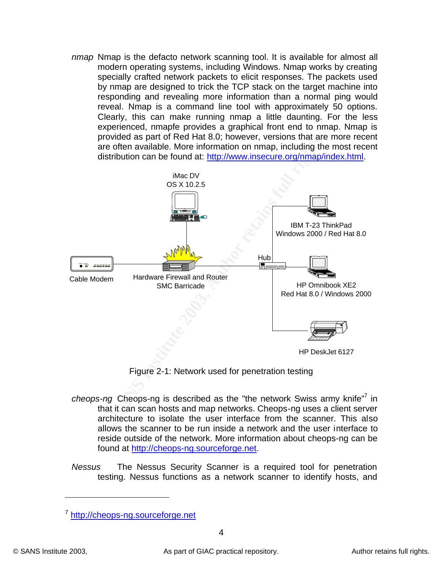*nmap* Nmap is the defacto network scanning tool. It is available for almost all modern operating systems, including Windows. Nmap works by creating specially crafted network packets to elicit responses. The packets used by nmap are designed to trick the TCP stack on the target machine into responding and revealing more information than a normal ping would reveal. Nmap is a command line tool with approximately 50 options. Clearly, this can make running nmap a little daunting. For the less experienced, nmapfe provides a graphical front end to nmap. Nmap is provided as part of Red Hat 8.0; however, versions that are more recent are often available. More information on nmap, including the most recent distribution can be found at: http://www.insecure.org/nmap/index.html.



Figure 2-1: Network used for penetration testing

- cheops-ng Cheops-ng is described as the "the network Swiss army knife"<sup>7</sup> in that it can scan hosts and map networks. Cheops-ng uses a client server architecture to isolate the user interface from the scanner. This also allows the scanner to be run inside a network and the user interface to reside outside of the network. More information about cheops-ng can be found at http://cheops-ng.sourceforge.net.
- *Nessus* The Nessus Security Scanner is a required tool for penetration testing. Nessus functions as a network scanner to identify hosts, and

<sup>&</sup>lt;sup>7</sup> http://cheops-ng.sourceforge.net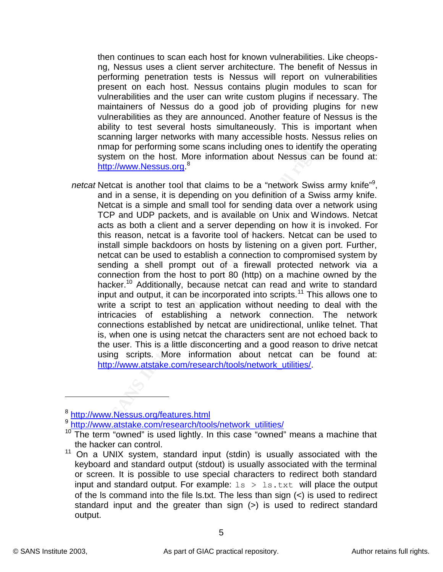then continues to scan each host for known vulnerabilities. Like cheopsng, Nessus uses a client server architecture. The benefit of Nessus in performing penetration tests is Nessus will report on vulnerabilities present on each host. Nessus contains plugin modules to scan for vulnerabilities and the user can write custom plugins if necessary. The maintainers of Nessus do a good job of providing plugins for new vulnerabilities as they are announced. Another feature of Nessus is the ability to test several hosts simultaneously. This is important when scanning larger networks with many accessible hosts. Nessus relies on nmap for performing some scans including ones to identify the operating system on the host. More information about Nessus can be found at: http://www.Nessus.org.<sup>8</sup>

ccamming larger heworks wun mariny accessible noiss. Nest<br>uning for performing some scans including ones to identify<br>tystem on the host. More information about Nessus can<br>the multiparty with the sense, it is depending on y netcat Netcat is another tool that claims to be a "network Swiss army knife"<sup>9</sup>, and in a sense, it is depending on you definition of a Swiss army knife. Netcat is a simple and small tool for sending data over a network using TCP and UDP packets, and is available on Unix and Windows. Netcat acts as both a client and a server depending on how it is invoked. For this reason, netcat is a favorite tool of hackers. Netcat can be used to install simple backdoors on hosts by listening on a given port. Further, netcat can be used to establish a connection to compromised system by sending a shell prompt out of a firewall protected network via a connection from the host to port 80 (http) on a machine owned by the hacker.<sup>10</sup> Additionally, because netcat can read and write to standard input and output, it can be incorporated into scripts.<sup>11</sup> This allows one to write a script to test an application without needing to deal with the intricacies of establishing a network connection. The network connections established by netcat are unidirectional, unlike telnet. That is, when one is using netcat the characters sent are not echoed back to the user. This is a little disconcerting and a good reason to drive netcat using scripts. More information about netcat can be found at: http://www.atstake.com/research/tools/network\_utilities/.

<sup>&</sup>lt;sup>8</sup>http://www.Nessus.org/features.html

<sup>9</sup> http://www.atstake.com/research/tools/network\_utilities/

 $10$  The term "owned" is used lightly. In this case "owned" means a machine that the hacker can control.

<sup>11</sup> On a UNIX system, standard input (stdin) is usually associated with the keyboard and standard output (stdout) is usually associated with the terminal or screen. It is possible to use special characters to redirect both standard input and standard output. For example:  $ls > ls.txt$  will place the output of the ls command into the file ls.txt. The less than sign (<) is used to redirect standard input and the greater than sign (>) is used to redirect standard output.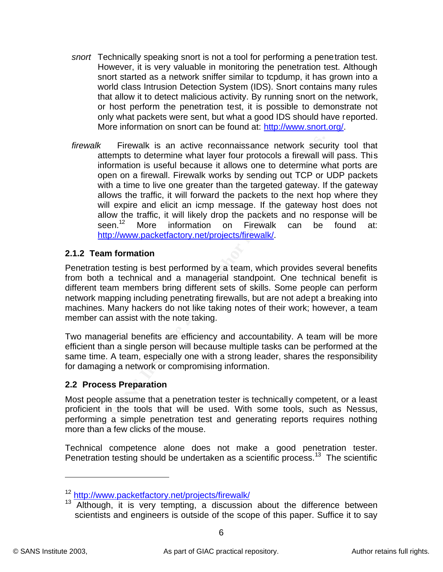- snort Technically speaking snort is not a tool for performing a penetration test. However, it is very valuable in monitoring the penetration test. Although snort started as a network sniffer similar to tcpdump, it has grown into a world class Intrusion Detection System (IDS). Snort contains many rules that allow it to detect malicious activity. By running snort on the network, or host perform the penetration test, it is possible to demonstrate not only what packets were sent, but what a good IDS should have reported. More information on snort can be found at: http://www.snort.org/.
	- Firewalk is an active reconnaissance network securempts to determine what layer four protocols a firewall whommation is useful because it allows one to determine we why one a firewall, Firewalk works by sending out TCP or *firewalk* Firewalk is an active reconnaissance network security tool that attempts to determine what layer four protocols a firewall will pass. This information is useful because it allows one to determine what ports are open on a firewall. Firewalk works by sending out TCP or UDP packets with a time to live one greater than the targeted gateway. If the gateway allows the traffic, it will forward the packets to the next hop where they will expire and elicit an icmp message. If the gateway host does not allow the traffic, it will likely drop the packets and no response will be seen.<sup>12</sup> More information on Firewalk can be found at: http://www.packetfactory.net/projects/firewalk/.

## **2.1.2 Team formation**

Penetration testing is best performed by a team, which provides several benefits from both a technical and a managerial standpoint. One technical benefit is different team members bring different sets of skills. Some people can perform network mapping including penetrating firewalls, but are not adept a breaking into machines. Many hackers do not like taking notes of their work; however, a team member can assist with the note taking.

Two managerial benefits are efficiency and accountability. A team will be more efficient than a single person will because multiple tasks can be performed at the same time. A team, especially one with a strong leader, shares the responsibility for damaging a network or compromising information.

# **2.2 Process Preparation**

Most people assume that a penetration tester is technically competent, or a least proficient in the tools that will be used. With some tools, such as Nessus, performing a simple penetration test and generating reports requires nothing more than a few clicks of the mouse.

Technical competence alone does not make a good penetration tester. Penetration testing should be undertaken as a scientific process.<sup>13</sup> The scientific

<sup>12</sup> http://www.packetfactory.net/projects/firewalk/

 $13$  Although, it is very tempting, a discussion about the difference between scientists and engineers is outside of the scope of this paper. Suffice it to say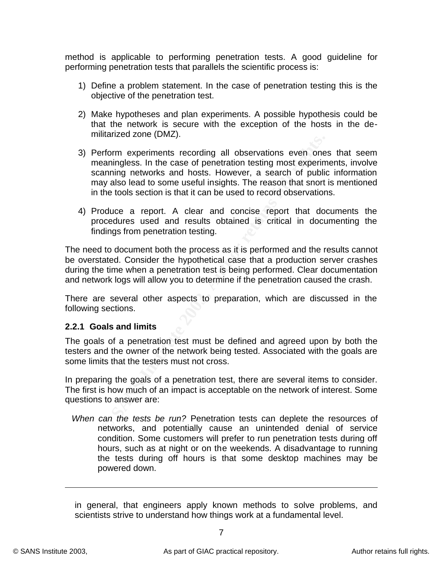method is applicable to performing penetration tests. A good guideline for performing penetration tests that parallels the scientific process is:

- 1) Define a problem statement. In the case of penetration testing this is the objective of the penetration test.
- 2) Make hypotheses and plan experiments. A possible hypothesis could be that the network is secure with the exception of the hosts in the demilitarized zone (DMZ).
- manized entro (entrar).<br>
Enform experiments recording all observations even one<br>
paraming networks and hosts. However, a search of public<br>
and any also lead to some useful insights. The reason that snort<br>
the tools section 3) Perform experiments recording all observations even ones that seem meaningless. In the case of penetration testing most experiments, involve scanning networks and hosts. However, a search of public information may also lead to some useful insights. The reason that snort is mentioned in the tools section is that it can be used to record observations.
- 4) Produce a report. A clear and concise report that documents the procedures used and results obtained is critical in documenting the findings from penetration testing.

The need to document both the process as it is performed and the results cannot be overstated. Consider the hypothetical case that a production server crashes during the time when a penetration test is being performed. Clear documentation and network logs will allow you to determine if the penetration caused the crash.

There are several other aspects to preparation, which are discussed in the following sections.

## **2.2.1 Goals and limits**

The goals of a penetration test must be defined and agreed upon by both the testers and the owner of the network being tested. Associated with the goals are some limits that the testers must not cross.

In preparing the goals of a penetration test, there are several items to consider. The first is how much of an impact is acceptable on the network of interest. Some questions to answer are:

*When can the tests be run?* Penetration tests can deplete the resources of networks, and potentially cause an unintended denial of service condition. Some customers will prefer to run penetration tests during off hours, such as at night or on the weekends. A disadvantage to running the tests during off hours is that some desktop machines may be powered down.

in general, that engineers apply known methods to solve problems, and scientists strive to understand how things work at a fundamental level.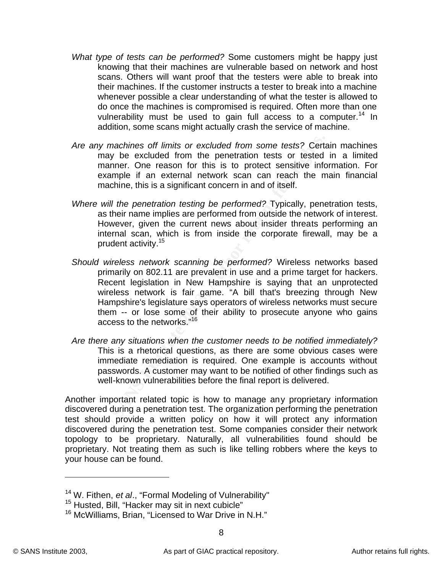- What type of tests can be performed? Some customers might be happy just knowing that their machines are vulnerable based on network and host scans. Others will want proof that the testers were able to break into their machines. If the customer instructs a tester to break into a machine whenever possible a clear understanding of what the tester is allowed to do once the machines is compromised is required. Often more than one vulnerability must be used to gain full access to a computer.<sup>14</sup> In addition, some scans might actually crash the service of machine.
	- *Are any machines off limits or excluded from some tests?* Certain machines may be excluded from the penetration tests or tested in a limited manner. One reason for this is to protect sensitive information. For example if an external network scan can reach the main financial machine, this is a significant concern in and of itself.
	- *Where will the penetration testing be performed?* Typically, penetration tests, as their name implies are performed from outside the network of interest. However, given the current news about insider threats performing an internal scan, which is from inside the corporate firewall, may be a prudent activity.<sup>15</sup>
	- y machines off limits or excluded from some tests? Certay be excluded from the penetration tests or tested manner. One reason for this is to protect sensitive info assumple if an external network scan can reach the machine *Should wireless network scanning be performed?* Wireless networks based primarily on 802.11 are prevalent in use and a prime target for hackers. Recent legislation in New Hampshire is saying that an unprotected wireless network is fair game. "A bill that's breezing through New Hampshire's legislature says operators of wireless networks must secure them -- or lose some of their ability to prosecute anyone who gains access to the networks."<sup>16</sup>
	- *Are there any situations when the customer needs to be notified immediately?* This is a rhetorical questions, as there are some obvious cases were immediate remediation is required. One example is accounts without passwords. A customer may want to be notified of other findings such as well-known vulnerabilities before the final report is delivered.

Another important related topic is how to manage any proprietary information discovered during a penetration test. The organization performing the penetration test should provide a written policy on how it will protect any information discovered during the penetration test. Some companies consider their network topology to be proprietary. Naturally, all vulnerabilities found should be proprietary. Not treating them as such is like telling robbers where the keys to your house can be found.

<sup>14</sup> W. Fithen, *et al*., "Formal Modeling of Vulnerability"

<sup>&</sup>lt;sup>15</sup> Husted, Bill, "Hacker may sit in next cubicle"

<sup>&</sup>lt;sup>16</sup> McWilliams, Brian, "Licensed to War Drive in N.H."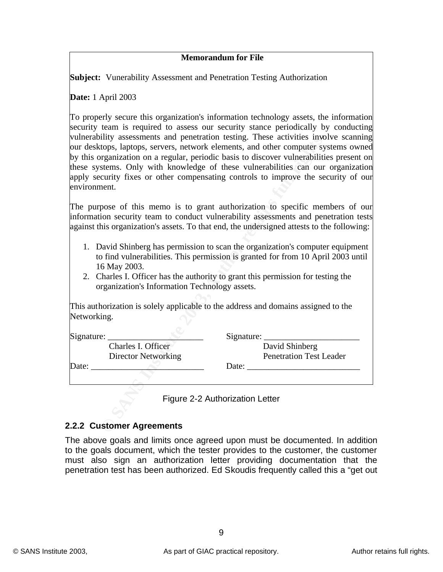## **Key Fax7 2F94 9989 Memorandum for File**

**Subject:** Vunerability Assessment and Penetration Testing Authorization

**Date:** 1 April 2003

Find assessments and penetratom estang. I rhese activutes into<br>tops, laptops, servers, network elements, and other computer syngmization on a regular, periodic basis to discover vulnerabilities<br>tems. Only with knowledge of To properly secure this organization's information technology assets, the information security team is required to assess our security stance periodically by conducting vulnerability assessments and penetration testing. These activities involve scanning our desktops, laptops, servers, network elements, and other computer systems owned by this organization on a regular, periodic basis to discover vulnerabilities present on these systems. Only with knowledge of these vulnerabilities can our organization apply security fixes or other compensating controls to improve the security of our environment.

The purpose of this memo is to grant authorization to specific members of our information security team to conduct vulnerability assessments and penetration tests against this organization's assets. To that end, the undersigned attests to the following:

- 1. David Shinberg has permission to scan the organization's computer equipment to find vulnerabilities. This permission is granted for from 10 April 2003 until 16 May 2003.
- 2. Charles I. Officer has the authority to grant this permission for testing the organization's Information Technology assets.

This authorization is solely applicable to the address and domains assigned to the Networking.

| Signature: |                            | Signature: |                                |
|------------|----------------------------|------------|--------------------------------|
|            | Charles I. Officer         |            | David Shinberg                 |
|            | <b>Director Networking</b> |            | <b>Penetration Test Leader</b> |
| Date:      |                            | Date:      |                                |
|            |                            |            |                                |

Figure 2-2 Authorization Letter

#### **2.2.2 Customer Agreements**

The above goals and limits once agreed upon must be documented. In addition to the goals document, which the tester provides to the customer, the customer must also sign an authorization letter providing documentation that the penetration test has been authorized. Ed Skoudis frequently called this a "get out

9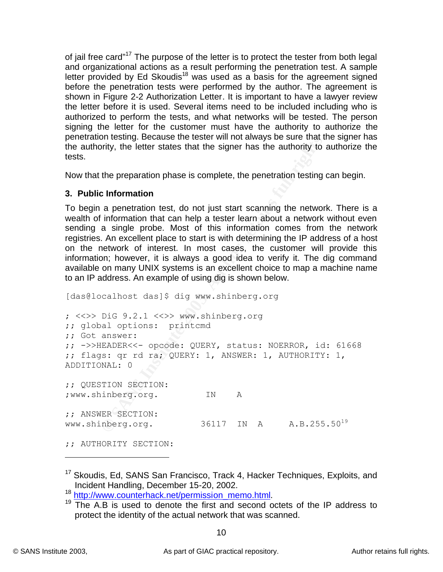of jail free card"<sup>17</sup> The purpose of the letter is to protect the tester from both legal and organizational actions as a result performing the penetration test. A sample letter provided by Ed Skoudis<sup>18</sup> was used as a basis for the agreement signed before the penetration tests were performed by the author. The agreement is shown in Figure 2-2 Authorization Letter. It is important to have a lawyer review the letter before it is used. Several items need to be included including who is authorized to perform the tests, and what networks will be tested. The person signing the letter for the customer must have the authority to authorize the penetration testing. Because the tester will not always be sure that the signer has the authority, the letter states that the signer has the authority to authorize the tests.

Now that the preparation phase is complete, the penetration testing can begin.

# **3. Public Information**

To begin a penetration test, do not just start scanning the network. There is a wealth of information that can help a tester learn about a network without even sending a single probe. Most of this information comes from the network registries. An excellent place to start is with determining the IP address of a host on the network of interest. In most cases, the customer will provide this information; however, it is always a good idea to verify it. The dig command available on many UNIX systems is an excellent choice to map a machine name to an IP address. An example of using dig is shown below.

on lessing. Because the lesser will not aways be sure that it<br>infly, the letter states that the signer has the authority to a<br>the preparation phase is complete, the penetration testing c<br>**c Information**<br>**a** penetration t [das@localhost das]\$ dig www.shinberg.org ; <<>> DiG 9.2.1 <<>> www.shinberg.org ;; global options: printcmd ;; Got answer: ;; ->>HEADER<<- opcode: QUERY, status: NOERROR, id: 61668 ;; flags: qr rd ra; QUERY: 1, ANSWER: 1, AUTHORITY: 1, ADDITIONAL: 0 ;; QUESTION SECTION: ;www.shinberg.org. IN A ;; ANSWER SECTION: www.shinberg.org. 36117 IN A A.B.255.50<sup>19</sup> ;; AUTHORITY SECTION:

<sup>&</sup>lt;sup>17</sup> Skoudis, Ed, SANS San Francisco, Track 4, Hacker Techniques, Exploits, and Incident Handling, December 15-20, 2002.

<sup>18</sup> http://www.counterhack.net/permission\_memo.html.

 $19$  The A.B is used to denote the first and second octets of the IP address to protect the identity of the actual network that was scanned.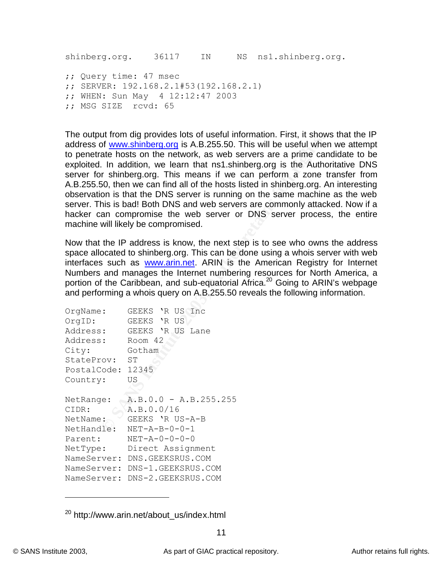shinberg.org. 36117 IN NS ns1.shinberg.org. ;; Query time: 47 msec ;; SERVER: 192.168.2.1#53(192.168.2.1) ;; WHEN: Sun May 4 12:12:47 2003 ;; MSG SIZE rcvd: 65

**EXAMPLE 12000 CONDUP TO THE CONDUPTED THE CONDUPTED**<br> **CALCE THE AUTE AND THE AUTH AND THE AUTH AND THE AUTH AND THE AUTH AND THE AUTH AND THE AND THE AUTH AND THIS INSTEMENT AND THE STOND IS that the DNS server is runn** The output from dig provides lots of useful information. First, it shows that the IP address of www.shinberg.org is A.B.255.50. This will be useful when we attempt to penetrate hosts on the network, as web servers are a prime candidate to be exploited. In addition, we learn that ns1.shinberg.org is the Authoritative DNS server for shinberg.org. This means if we can perform a zone transfer from A.B.255.50, then we can find all of the hosts listed in shinberg.org. An interesting observation is that the DNS server is running on the same machine as the web server. This is bad! Both DNS and web servers are commonly attacked. Now if a hacker can compromise the web server or DNS server process, the entire machine will likely be compromised.

Now that the IP address is know, the next step is to see who owns the address space allocated to shinberg.org. This can be done using a whois server with web interfaces such as **www.arin.net**. ARIN is the American Registry for Internet Numbers and manages the Internet numbering resources for North America, a portion of the Caribbean, and sub-equatorial Africa.<sup>20</sup> Going to ARIN's webpage and performing a whois query on A.B.255.50 reveals the following information.

| OrgName:          | GEEKS 'R US Inc           |
|-------------------|---------------------------|
| OrgID:            | GEEKS 'R US               |
| Address:          | GEEKS 'R US Lane          |
| Address:          | Room 42                   |
| City:             | Gotham                    |
| StateProv:        | ST                        |
| PostalCode: 12345 |                           |
| Country:          | US                        |
| NetRange:         | A.B.0.0 - A.B.255.255     |
| CIDR:             | A.B.O.O/16                |
| NetName:          | GEEKS 'R US-A-B           |
|                   |                           |
| NetHandle:        | $NET - A - B - 0 - 0 - 1$ |
| Parent:           | $NET - A - 0 - 0 - 0 - 0$ |
| NetType:          | Direct Assignment         |
| NameServer:       | DNS.GEEKSRUS.COM          |
| NameServer:       | DNS-1.GEEKSRUS.COM        |

<sup>20</sup> http://www.arin.net/about\_us/index.html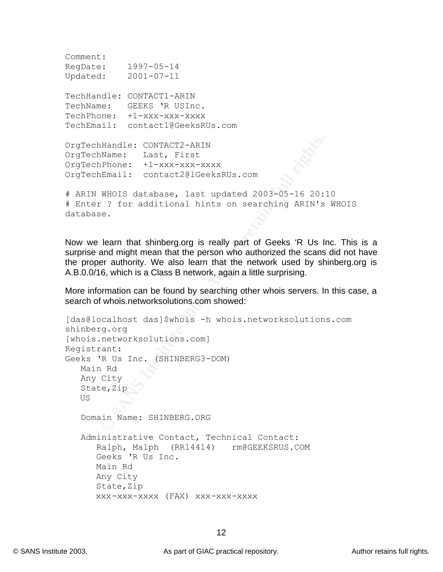```
\n  <b>Comment:</b>\nRegDate: 1997-05-14
Updated: 2001-07-11
TechHandle: CONTACT1-ARIN
TechName: GEEKS 'R USInc.
TechPhone: +1-xxx-xxx-xxxx
TechEmail: contact1@GeeksRUs.com
OrgTechHandle: CONTACT2-ARIN
OrgTechName: Last, First
```
OrgTechPhone: +1-xxx-xxx-xxxx OrgTechEmail: contact2@lGeeksRUs.com

```
# ARIN WHOIS database, last updated 2003-05-16 20:10
# Enter ? for additional hints on searching ARIN's WHOIS 
database.
```
Now we learn that shinberg.org is really part of Geeks 'R Us Inc. This is a surprise and might mean that the person who authorized the scans did not have the proper authority. We also learn that the network used by shinberg.org is A.B.0.0/16, which is a Class B network, again a little surprising.

More information can be found by searching other whois servers. In this case, a search of whois.networksolutions.com showed:

```
Handle: CONTACT2-ARIN<br>
NRame: Last, First<br>
Phone: +1-xxx-xxx-xxxx<br>
PEmail: contact201GeeksRUs.com<br>
WHOIS database, last updated 2003-05-16 20:<br>
YMOIS database, last updated 2003-05-16 20:<br>
PROIS database, last updated 2003
[das@localhost das]$whois -h whois.networksolutions.com 
shinberg.org
[whois.networksolutions.com]
Registrant:
Geeks 'R Us Inc. (SHINBERG3-DOM)
     Main Rd
     Any City
    State, Zip
     US
     Domain Name: SHINBERG.ORG
     Administrative Contact, Technical Contact:
          Ralph, Malph (RR14414) rm@GEEKSRUS.COM
          Geeks 'R Us Inc.
         Main Rd
         Any City
         State, Zip
         xxx-xxx-xxxx (FAX) xxx-xxx-xxxx
```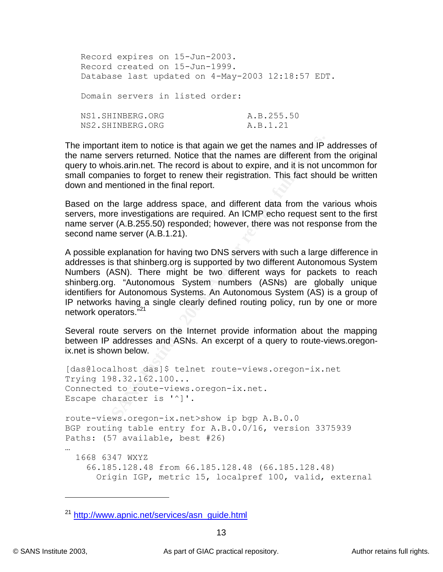| Record expires on 15-Jun-2003.  |                                                   |
|---------------------------------|---------------------------------------------------|
| Record created on 15-Jun-1999.  |                                                   |
|                                 | Database last updated on 4-May-2003 12:18:57 EDT. |
|                                 |                                                   |
| Domain servers in listed order: |                                                   |
|                                 |                                                   |
| NS1.SHINBERG.ORG                | A.B.255.50                                        |
| NS2.SHINBERG.ORG                | A.B.1.21                                          |
|                                 |                                                   |

The important item to notice is that again we get the names and IP addresses of the name servers returned. Notice that the names are different from the original query to whois.arin.net. The record is about to expire, and it is not uncommon for small companies to forget to renew their registration. This fact should be written down and mentioned in the final report.

Based on the large address space, and different data from the various whois servers, more investigations are required. An ICMP echo request sent to the first name server (A.B.255.50) responded; however, there was not response from the second name server (A.B.1.21).

ortant item to notice is that again we get the names and IP servers returned. Notice that the names are different from<br>mpanies to forget to renew their registration. This fact shout<br>mpanies to forget to renew their registr A possible explanation for having two DNS servers with such a large difference in addresses is that shinberg.org is supported by two different Autonomous System Numbers (ASN). There might be two different ways for packets to reach shinberg.org. "Autonomous System numbers (ASNs) are globally unique identifiers for Autonomous Systems. An Autonomous System (AS) is a group of IP networks having a single clearly defined routing policy, run by one or more network operators."<sup>21</sup>

Several route servers on the Internet provide information about the mapping between IP addresses and ASNs. An excerpt of a query to route-views.oregonix.net is shown below.

```
[das@localhost das]$ telnet route-views.oregon-ix.net
Trying 198.32.162.100...
Connected to route-views.oregon-ix.net.
Escape character is '^]'.
route-views.oregon-ix.net>show ip bgp A.B.0.0
BGP routing table entry for A.B.0.0/16, version 3375939
Paths: (57 available, best #26)
…
   1668 6347 WXYZ
     66.185.128.48 from 66.185.128.48 (66.185.128.48)
       Origin IGP, metric 15, localpref 100, valid, external
```
<sup>21</sup> http://www.apnic.net/services/asn\_guide.html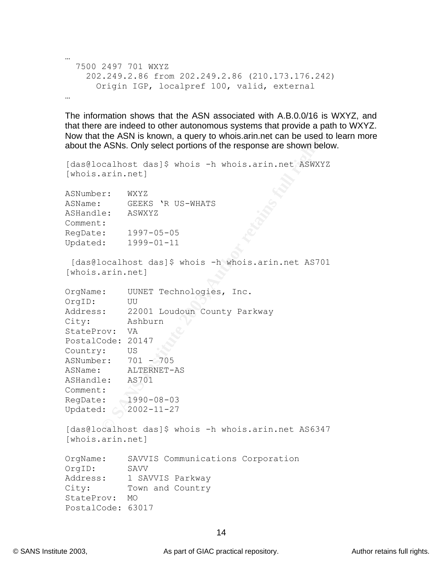```
\mathbb{R}^{n+1} final \mathbb{R}^{n+1} \mathbb{R}^{n+1} \mathbb{R}^{n+1} \mathbb{R}^{n+1} \mathbb{R}^{n+1} \mathbb{R}^{n+1} \mathbb{R}^{n+1}…
   7500 2497 701 WXYZ
       202.249.2.86 from 202.249.2.86 (210.173.176.242)
          Origin IGP, localpref 100, valid, external
…
```
The information shows that the ASN associated with A.B.0.0/16 is WXYZ, and that there are indeed to other autonomous systems that provide a path to WXYZ. Now that the ASN is known, a query to whois.arin.net can be used to learn more about the ASNs. Only select portions of the response are shown below.

```
[das@localhost das]$ whois -h whois.arin.net ASWXYZ
[whois.arin.net]
ASNumber: WXYZ
ASName: GEEKS 'R US-WHATS
ASHandle: ASWXYZ
Comment:
RegDate: 1997-05-05
Updated: 1999-01-11
```

|                                                                                                                                                           | INUW that the ASIN is Known, a query to whois.ami.het can be used t<br>about the ASNs. Only select portions of the response are shown belo                                       |
|-----------------------------------------------------------------------------------------------------------------------------------------------------------|----------------------------------------------------------------------------------------------------------------------------------------------------------------------------------|
| [whois.arin.net]                                                                                                                                          | [das@localhost das]\$ whois -h whois.arin.net ASWXY?                                                                                                                             |
| ASNumber:<br>ASName:<br>ASHandle:<br>Comment:<br>RegDate:<br>Updated:                                                                                     | WXYZ<br>GEEKS 'R US-WHATS<br>ASWXYZ<br>$1997 - 05 - 05$<br>$1999 - 01 - 11$                                                                                                      |
| [whois.arin.net]                                                                                                                                          | [das@localhost das]\$ whois -h whois.arin.net AS701                                                                                                                              |
| OrgName:<br>OrgID:<br>Address:<br>City:<br>StateProv:<br>PostalCode:<br>Country:<br>ASNumber:<br>ASName:<br>ASHandle:<br>Comment:<br>RegDate:<br>Updated: | UUNET Technologies,<br>Inc.<br>UU<br>22001 Loudoun County Parkway<br>Ashburn<br>VA<br>20147<br>US<br>$701 - 705$<br>ALTERNET-AS<br>AS701<br>$1990 - 08 - 03$<br>$2002 - 11 - 27$ |
|                                                                                                                                                           | [das@localhost das]\$ whois -h whois.arin.net AS6347                                                                                                                             |

[das@localhost das]\$ whois -h whois.arin.net AS6347 [whois.arin.net]

```
OrgName: SAVVIS Communications Corporation
OrgID: SAVV
Address: 1 SAVVIS Parkway
City: Town and Country
StateProv: MO
PostalCode: 63017
```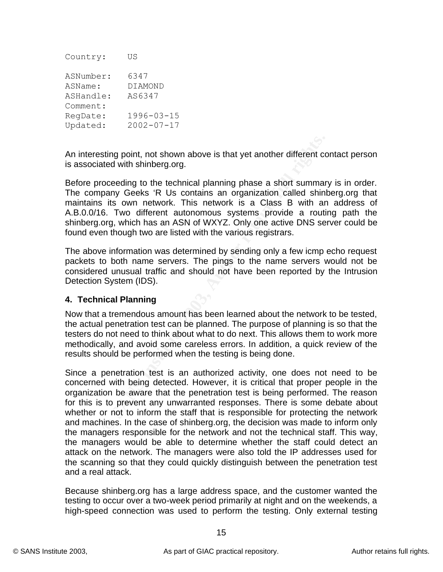| Country:  | US               |
|-----------|------------------|
| ASNumber: | 6347             |
| ASName:   | DIAMOND          |
| ASHandle: | AS6347           |
| Comment:  |                  |
| RegDate:  | $1996 - 03 - 15$ |
| Updated:  | $2002 - 07 - 17$ |

An interesting point, not shown above is that yet another different contact person is associated with shinberg.org.

Before proceeding to the technical planning phase a short summary is in order. The company Geeks 'R Us contains an organization called shinberg.org that maintains its own network. This network is a Class B with an address of A.B.0.0/16. Two different autonomous systems provide a routing path the shinberg.org, which has an ASN of WXYZ. Only one active DNS server could be found even though two are listed with the various registrars.

The above information was determined by sending only a few icmp echo request packets to both name servers. The pings to the name servers would not be considered unusual traffic and should not have been reported by the Intrusion Detection System (IDS).

## **4. Technical Planning**

Now that a tremendous amount has been learned about the network to be tested, the actual penetration test can be planned. The purpose of planning is so that the testers do not need to think about what to do next. This allows them to work more methodically, and avoid some careless errors. In addition, a quick review of the results should be performed when the testing is being done.

sting point, not shown above is that yet another different cc<br>ted with shinberg.org.<br>papy Geeks<sup>1</sup> R Us contains an organization called shinh<br>as it is own network. This network is a Class B with an<br>6. Two different autonom Since a penetration test is an authorized activity, one does not need to be concerned with being detected. However, it is critical that proper people in the organization be aware that the penetration test is being performed. The reason for this is to prevent any unwarranted responses. There is some debate about whether or not to inform the staff that is responsible for protecting the network and machines. In the case of shinberg.org, the decision was made to inform only the managers responsible for the network and not the technical staff. This way, the managers would be able to determine whether the staff could detect an attack on the network. The managers were also told the IP addresses used for the scanning so that they could quickly distinguish between the penetration test and a real attack.

Because shinberg.org has a large address space, and the customer wanted the testing to occur over a two-week period primarily at night and on the weekends, a high-speed connection was used to perform the testing. Only external testing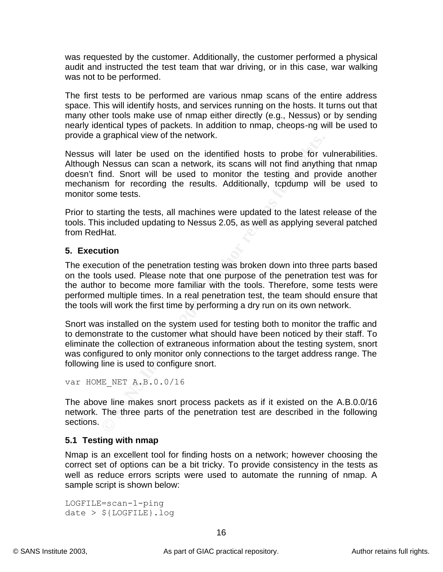was requested by the customer. Additionally, the customer performed a physical audit and instructed the test team that war driving, or in this case, war walking was not to be performed.

The first tests to be performed are various nmap scans of the entire address space. This will identify hosts, and services running on the hosts. It turns out that many other tools make use of nmap either directly (e.g., Nessus) or by sending nearly identical types of packets. In addition to nmap, cheops-ng will be used to provide a graphical view of the network.

Nessus will later be used on the identified hosts to probe for vulnerabilities. Although Nessus can scan a network, its scans will not find anything that nmap doesn't find. Snort will be used to monitor the testing and provide another mechanism for recording the results. Additionally, tcpdump will be used to monitor some tests.

Prior to starting the tests, all machines were updated to the latest release of the tools. This included updating to Nessus 2.05, as well as applying several patched from RedHat.

## **5. Execution**

graphical view of the hetwork.<br>
Will later be used on the identified hosts to probe for v<br>
Nessus can scan a network, its scans will not find anythir<br>
Mesus can scan a network, its scans will not find anythir<br>
Ind. Snort w The execution of the penetration testing was broken down into three parts based on the tools used. Please note that one purpose of the penetration test was for the author to become more familiar with the tools. Therefore, some tests were performed multiple times. In a real penetration test, the team should ensure that the tools will work the first time by performing a dry run on its own network.

Snort was installed on the system used for testing both to monitor the traffic and to demonstrate to the customer what should have been noticed by their staff. To eliminate the collection of extraneous information about the testing system, snort was configured to only monitor only connections to the target address range. The following line is used to configure snort.

```
var HOME_NET A.B.0.0/16
```
The above line makes snort process packets as if it existed on the A.B.0.0/16 network. The three parts of the penetration test are described in the following sections.

# **5.1 Testing with nmap**

Nmap is an excellent tool for finding hosts on a network; however choosing the correct set of options can be a bit tricky. To provide consistency in the tests as well as reduce errors scripts were used to automate the running of nmap. A sample script is shown below:

```
LOGFILE=scan-1-ping
date > ${LOGFILE}.log
```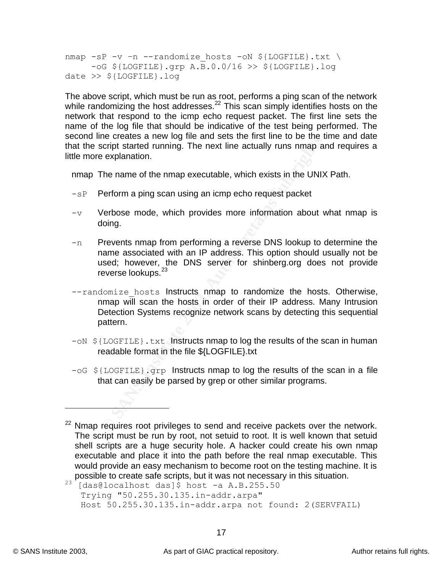nmap -sP -v -n --randomize\_hosts -oN \${LOGFILE}.txt \  $-$ oG  $$$ {LOGFILE}.grp A.B.0.0/16 >>  $$$ {LOGFILE}.log date >> \${LOGFILE}.log

The above script, which must be run as root, performs a ping scan of the network while randomizing the host addresses.<sup>22</sup> This scan simply identifies hosts on the network that respond to the icmp echo request packet. The first line sets the name of the log file that should be indicative of the test being performed. The second line creates a new log file and sets the first line to be the time and date that the script started running. The next line actually runs nmap and requires a little more explanation.

nmap The name of the nmap executable, which exists in the UNIX Path.

- -sP Perform a ping scan using an icmp echo request packet
- $-v$  Verbose mode, which provides more information about what nmap is doing.
- $-n$  Prevents nmap from performing a reverse DNS lookup to determine the name associated with an IP address. This option should usually not be used; however, the DNS server for shinberg.org does not provide reverse lookups.<sup>23</sup>
- **Example Creates a lew log line and sets the linst line to be the total script started running. The next line actually runs nmap are explanation.**<br>The name of the nmap executable, which exists in the UNIX Perform a ping sc  $--$ randomize hosts Instructs nmap to randomize the hosts. Otherwise, nmap will scan the hosts in order of their IP address. Many Intrusion Detection Systems recognize network scans by detecting this sequential pattern.
- $-$ oN  $$$ {LOGFILE}.txt Instructs nmap to log the results of the scan in human readable format in the file \${LOGFILE}.txt
- $-\circ$ G \${LOGFILE}.grp Instructs nmap to log the results of the scan in a file that can easily be parsed by grep or other similar programs.

<sup>&</sup>lt;sup>22</sup> Nmap requires root privileges to send and receive packets over the network. The script must be run by root, not setuid to root. It is well known that setuid shell scripts are a huge security hole. A hacker could create his own nmap executable and place it into the path before the real nmap executable. This would provide an easy mechanism to become root on the testing machine. It is possible to create safe scripts, but it was not necessary in this situation.

 $^{23}$  [das@localhost das]\$ host -a A.B.255.50 Trying "50.255.30.135.in-addr.arpa" Host 50.255.30.135.in-addr.arpa not found: 2(SERVFAIL)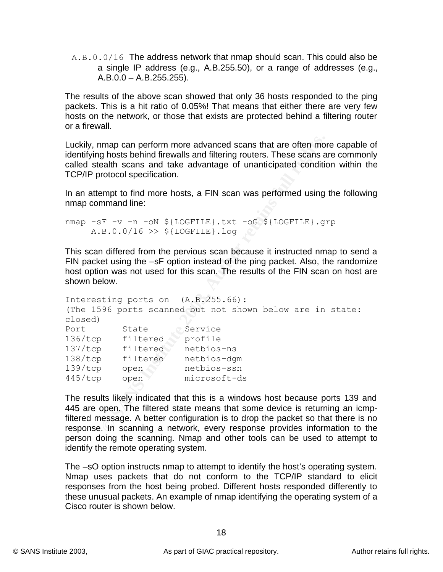A.B.0.0/16 The address network that nmap should scan. This could also be a single IP address (e.g., A.B.255.50), or a range of addresses (e.g.,  $A.B.0.0 - A.B.255.255$ .

The results of the above scan showed that only 36 hosts responded to the ping packets. This is a hit ratio of 0.05%! That means that either there are very few hosts on the network, or those that exists are protected behind a filtering router or a firewall.

Luckily, nmap can perform more advanced scans that are often more capable of identifying hosts behind firewalls and filtering routers. These scans are commonly called stealth scans and take advantage of unanticipated condition within the TCP/IP protocol specification.

In an attempt to find more hosts, a FIN scan was performed using the following nmap command line:

```
nmap -sF -v -n -oN ${LOGFILE}.txt -oG ${LOGFILE}.grp
    A.B.0.0/16 >> ${LOGFILE}.log
```
This scan differed from the pervious scan because it instructed nmap to send a FIN packet using the –sF option instead of the ping packet. Also, the randomize host option was not used for this scan. The results of the FIN scan on host are shown below.

```
Example 2018 Subsidiant The advanced scans that are often more absolution scans and take advantage of unanticipated condition corolos pecification.<br>
Example 10 and take advantage of unanticipated condition and take adv
Interesting ports on (A.B.255.66):
(The 1596 ports scanned but not shown below are in state: 
closed)
Port State Service
136/tcp filtered profile
137/tcp filtered netbios-ns
138/tcp filtered netbios-dgm
139/tcp open netbios-ssn
445/tcp open microsoft-ds
```
The results likely indicated that this is a windows host because ports 139 and 445 are open. The filtered state means that some device is returning an icmpfiltered message. A better configuration is to drop the packet so that there is no response. In scanning a network, every response provides information to the person doing the scanning. Nmap and other tools can be used to attempt to identify the remote operating system.

The –sO option instructs nmap to attempt to identify the host's operating system. Nmap uses packets that do not conform to the TCP/IP standard to elicit responses from the host being probed. Different hosts responded differently to these unusual packets. An example of nmap identifying the operating system of a Cisco router is shown below.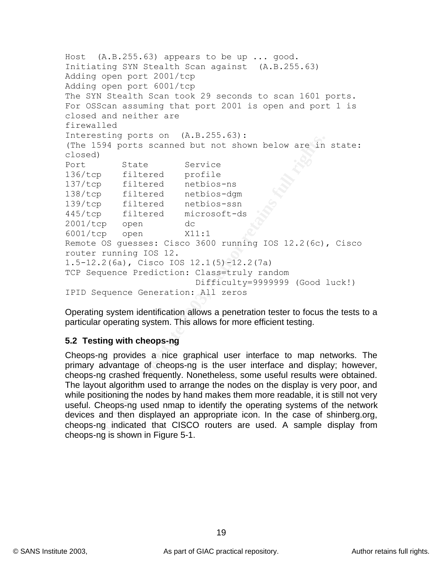**Example 1201 Solution** points scanned but not shown below are in<br>
State Service profile<br>
priced profile<br>
filtered netbios-sm<br>
filtered netbios-sm<br>
filtered netbios-sm<br>
filtered netbios-sm<br>
filtered netbios-sm<br>
propendicti Host (A.B.255.63) appears to be up ... good. Initiating SYN Stealth Scan against (A.B.255.63) Adding open port 2001/tcp Adding open port 6001/tcp The SYN Stealth Scan took 29 seconds to scan 1601 ports. For OSScan assuming that port 2001 is open and port 1 is closed and neither are firewalled Interesting ports on (A.B.255.63): (The 1594 ports scanned but not shown below are in state: closed) Port State Service<br>136/tcp filtered profile 136/tcp filtered profile 137/tcp filtered netbios-ns 138/tcp filtered netbios-dgm 139/tcp filtered netbios-ssn 445/tcp filtered microsoft-ds 2001/tcp open dc 6001/tcp open X11:1 Remote OS guesses: Cisco 3600 running IOS 12.2(6c), Cisco router running IOS 12. 1.5-12.2(6a), Cisco IOS 12.1(5)-12.2(7a) TCP Sequence Prediction: Class=truly random Difficulty=9999999 (Good luck!) IPID Sequence Generation: All zeros

Operating system identification allows a penetration tester to focus the tests to a particular operating system. This allows for more efficient testing.

## **5.2 Testing with cheops-ng**

Cheops-ng provides a nice graphical user interface to map networks. The primary advantage of cheops-ng is the user interface and display; however, cheops-ng crashed frequently. Nonetheless, some useful results were obtained. The layout algorithm used to arrange the nodes on the display is very poor, and while positioning the nodes by hand makes them more readable, it is still not very useful. Cheops-ng used nmap to identify the operating systems of the network devices and then displayed an appropriate icon. In the case of shinberg.org, cheops-ng indicated that CISCO routers are used. A sample display from cheops-ng is shown in Figure 5-1.

19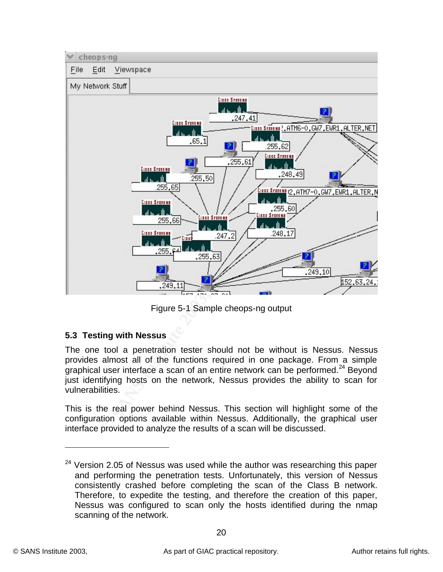

Figure 5-1 Sample cheops-ng output

# **5.3 Testing with Nessus**

The one tool a penetration tester should not be without is Nessus. Nessus provides almost all of the functions required in one package. From a simple graphical user interface a scan of an entire network can be performed. $^{24}$  Beyond just identifying hosts on the network, Nessus provides the ability to scan for vulnerabilities.

This is the real power behind Nessus. This section will highlight some of the configuration options available within Nessus. Additionally, the graphical user interface provided to analyze the results of a scan will be discussed.

 $24$  Version 2.05 of Nessus was used while the author was researching this paper and performing the penetration tests. Unfortunately, this version of Nessus consistently crashed before completing the scan of the Class B network. Therefore, to expedite the testing, and therefore the creation of this paper, Nessus was configured to scan only the hosts identified during the nmap scanning of the network.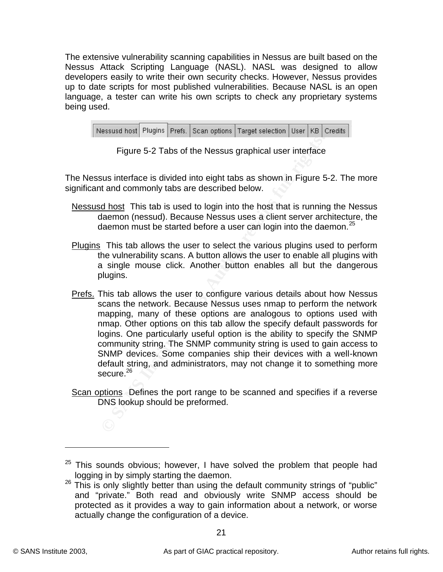The extensive vulnerability scanning capabilities in Nessus are built based on the Nessus Attack Scripting Language (NASL). NASL was designed to allow developers easily to write their own security checks. However, Nessus provides up to date scripts for most published vulnerabilities. Because NASL is an open language, a tester can write his own scripts to check any proprietary systems being used.

|  |  | Nessusd host Plugins Prefs. Scan options Target selection User   KB   Credits |  |  |
|--|--|-------------------------------------------------------------------------------|--|--|
|  |  |                                                                               |  |  |

| Figure 5-2 Tabs of the Nessus graphical user interface |  |
|--------------------------------------------------------|--|
|--------------------------------------------------------|--|

The Nessus interface is divided into eight tabs as shown in Figure 5-2. The more significant and commonly tabs are described below.

- Nessusd host This tab is used to login into the host that is running the Nessus daemon (nessud). Because Nessus uses a client server architecture, the daemon must be started before a user can login into the daemon.<sup>25</sup>
- Plugins This tab allows the user to select the various plugins used to perform the vulnerability scans. A button allows the user to enable all plugins with a single mouse click. Another button enables all but the dangerous plugins.
- Figure 5-2 Tabs of the Nessus graphical user interface<br>sus interface is divided into eight tabs as shown in Figure 5<br>t and commonly tabs are described below.<br><u>d host</u> This tab is used to login into the host that is running Prefs. This tab allows the user to configure various details about how Nessus scans the network. Because Nessus uses nmap to perform the network mapping, many of these options are analogous to options used with nmap. Other options on this tab allow the specify default passwords for logins. One particularly useful option is the ability to specify the SNMP community string. The SNMP community string is used to gain access to SNMP devices. Some companies ship their devices with a well-known default string, and administrators, may not change it to something more secure. $^{26}$
- Scan options. Defines the port range to be scanned and specifies if a reverse DNS lookup should be preformed.

 $25$  This sounds obvious; however, I have solved the problem that people had logging in by simply starting the daemon.

 $26$  This is only slightly better than using the default community strings of "public" and "private." Both read and obviously write SNMP access should be protected as it provides a way to gain information about a network, or worse actually change the configuration of a device.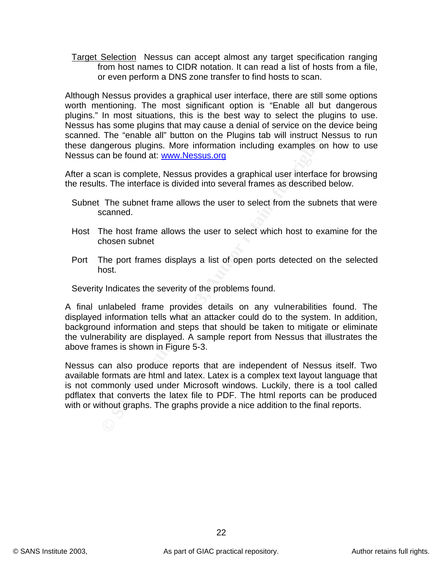Target Selection Nessus can accept almost any target specification ranging from host names to CIDR notation. It can read a list of hosts from a file, or even perform a DNS zone transfer to find hosts to scan.

Although Nessus provides a graphical user interface, there are still some options worth mentioning. The most significant option is "Enable all but dangerous plugins." In most situations, this is the best way to select the plugins to use. Nessus has some plugins that may cause a denial of service on the device being scanned. The "enable all" button on the Plugins tab will instruct Nessus to run these dangerous plugins. More information including examples on how to use Nessus can be found at: www.Nessus.org

After a scan is complete, Nessus provides a graphical user interface for browsing the results. The interface is divided into several frames as described below.

- Subnet The subnet frame allows the user to select from the subnets that were scanned.
- Host The host frame allows the user to select which host to examine for the chosen subnet
- Port The port frames displays a list of open ports detected on the selected host.

Severity Indicates the severity of the problems found.

Fre enable an button on the Fugins cab with instact and the retained and properation including examples on the rights. More information including examples on the submet frame allows the user to select from the submet as st A final unlabeled frame provides details on any vulnerabilities found. The displayed information tells what an attacker could do to the system. In addition, background information and steps that should be taken to mitigate or eliminate the vulnerability are displayed. A sample report from Nessus that illustrates the above frames is shown in Figure 5-3.

Nessus can also produce reports that are independent of Nessus itself. Two available formats are html and latex. Latex is a complex text layout language that is not commonly used under Microsoft windows. Luckily, there is a tool called pdflatex that converts the latex file to PDF. The html reports can be produced with or without graphs. The graphs provide a nice addition to the final reports.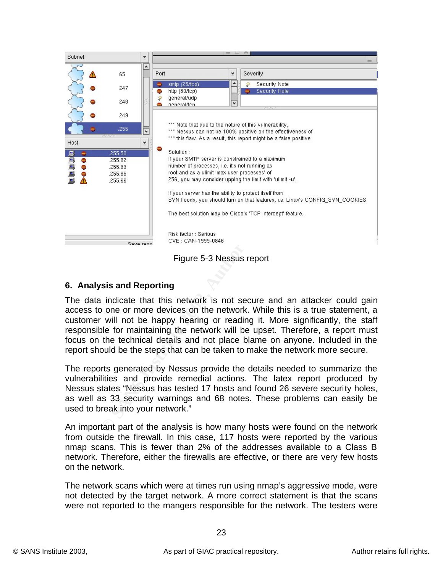

Figure 5-3 Nessus report

## **6. Analysis and Reporting**

The data indicate that this network is not secure and an attacker could gain access to one or more devices on the network. While this is a true statement, a customer will not be happy hearing or reading it. More significantly, the staff responsible for maintaining the network will be upset. Therefore, a report must focus on the technical details and not place blame on anyone. Included in the report should be the steps that can be taken to make the network more secure.

The reports generated by Nessus provide the details needed to summarize the vulnerabilities and provide remedial actions. The latex report produced by Nessus states "Nessus has tested 17 hosts and found 26 severe security holes, as well as 33 security warnings and 68 notes. These problems can easily be used to break into your network."

An important part of the analysis is how many hosts were found on the network from outside the firewall. In this case, 117 hosts were reported by the various nmap scans. This is fewer than 2% of the addresses available to a Class B network. Therefore, either the firewalls are effective, or there are very few hosts on the network.

The network scans which were at times run using nmap's aggressive mode, were not detected by the target network. A more correct statement is that the scans were not reported to the mangers responsible for the network. The testers were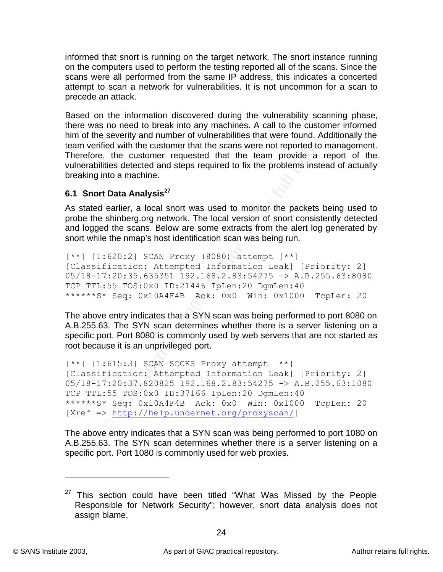informed that snort is running on the target network. The snort instance running on the computers used to perform the testing reported all of the scans. Since the scans were all performed from the same IP address, this indicates a concerted attempt to scan a network for vulnerabilities. It is not uncommon for a scan to precede an attack.

Based on the information discovered during the vulnerability scanning phase, there was no need to break into any machines. A call to the customer informed him of the severity and number of vulnerabilities that were found. Additionally the team verified with the customer that the scans were not reported to management. Therefore, the customer requested that the team provide a report of the vulnerabilities detected and steps required to fix the problems instead of actually breaking into a machine.

# **6.1 Snort Data Analysis<sup>27</sup>**

As stated earlier, a local snort was used to monitor the packets being used to probe the shinberg.org network. The local version of snort consistently detected and logged the scans. Below are some extracts from the alert log generated by snort while the nmap's host identification scan was being run.

 $[**]$  [1:620:2] SCAN Proxy (8080) attempt  $[**]$ [Classification: Attempted Information Leak] [Priority: 2] 05/18-17:20:35.635351 192.168.2.83:54275 -> A.B.255.63:8080 TCP TTL:55 TOS:0x0 ID:21446 IpLen:20 DgmLen:40 \*\*\*\*\*\*S\* Seq: 0x10A4F4B Ack: 0x0 Win: 0x1000 TcpLen: 20

The above entry indicates that a SYN scan was being performed to port 8080 on A.B.255.63. The SYN scan determines whether there is a server listening on a specific port. Port 8080 is commonly used by web servers that are not started as root because it is an unprivileged port.

Steventy and number of vanimizations and were lound. Author is the santon that the scanse were not reported to reported to reported to reported that the scanse were not reported to relative a certical experiment to an ando  $\lceil ** \rceil$  [1:615:3] SCAN SOCKS Proxy attempt  $\lceil ** \rceil$ [Classification: Attempted Information Leak] [Priority: 2] 05/18-17:20:37.820825 192.168.2.83:54275 -> A.B.255.63:1080 TCP TTL:55 TOS:0x0 ID:37166 IpLen:20 DgmLen:40 \*\*\*\*\*\*S\* Seq: 0x10A4F4B Ack: 0x0 Win: 0x1000 TcpLen: 20 [Xref => http://help.undernet.org/proxyscan/]

The above entry indicates that a SYN scan was being performed to port 1080 on A.B.255.63. The SYN scan determines whether there is a server listening on a specific port. Port 1080 is commonly used for web proxies.

 $27$  This section could have been titled "What Was Missed by the People Responsible for Network Security"; however, snort data analysis does not assign blame.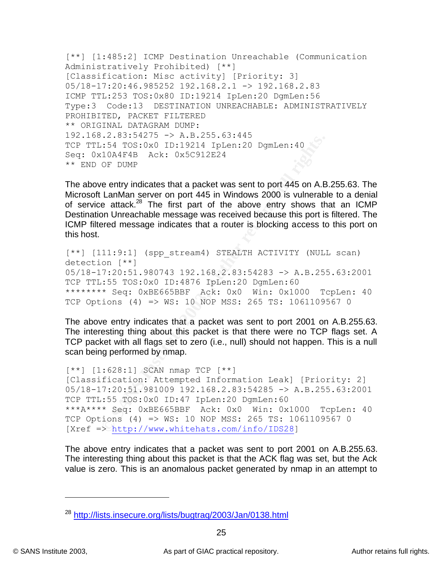```
[**] [1:485:2] ICMP Destination Unreachable (Communication
Administratively Prohibited) [**]
[Classification: Misc activity] [Priority: 3]
05/18-17:20:46.985252 192.168.2.1 -> 192.168.2.83
ICMP TTL:253 TOS:0x80 ID:19214 IpLen:20 DgmLen:56
Type:3 Code:13 DESTINATION UNREACHABLE: ADMINISTRATIVELY 
PROHIBITED, PACKET FILTERED
** ORIGINAL DATAGRAM DUMP:
192.168.2.83:54275 -> A.B.255.63:445
TCP TTL:54 TOS:0x0 ID:19214 IpLen:20 DgmLen:40
Seq: 0x10A4F4B Ack: 0x5C912E24
** END OF DUMP
```
The above entry indicates that a packet was sent to port 445 on A.B.255.63. The Microsoft LanMan server on port 445 in Windows 2000 is vulnerable to a denial of service attack.<sup>28</sup> The first part of the above entry shows that an ICMP Destination Unreachable message was received because this port is filtered. The ICMP filtered message indicates that a router is blocking access to this port on this host.

```
[**] [111:9:1] (spp stream4) STEALTH ACTIVITY (NULL scan)
detection [**]
05/18-17:20:51.980743 192.168.2.83:54283 -> A.B.255.63:2001
TCP TTL:55 TOS:0x0 ID:4876 IpLen:20 DgmLen:60
******** Seq: 0xBE665BBF Ack: 0x0 Win: 0x1000 TcpLen: 40
TCP Options (4) => WS: 10 NOP MSS: 265 TS: 1061109567 0
```
The above entry indicates that a packet was sent to port 2001 on A.B.255.63. The interesting thing about this packet is that there were no TCP flags set. A TCP packet with all flags set to zero (i.e., null) should not happen. This is a null scan being performed by nmap.

```
Example 2018<br>
CONSTRIGE 2003, AUTOR INTERENT (DETAINMENT AND AND AND AND AND AN INSTERNATION OF DUMP<br>
CONSTRIGE 2003, AUTOR CONSTRIGE 2003, AUTOR CONSTRIGE 2003 is universal on the LanMan server on port 445 on A.B La
[***] [1:628:1] SCAN nmap TCP [**][Classification: Attempted Information Leak] [Priority: 2]
05/18-17:20:51.981009 192.168.2.83:54285 -> A.B.255.63:2001
TCP TTL:55 TOS:0x0 ID:47 IpLen:20 DgmLen:60
***A**** Seq: 0xBE665BBF Ack: 0x0 Win: 0x1000 TcpLen: 40
TCP Options (4) => WS: 10 NOP MSS: 265 TS: 1061109567 0
[Xref => http://www.whitehats.com/info/IDS28]
```
The above entry indicates that a packet was sent to port 2001 on A.B.255.63. The interesting thing about this packet is that the ACK flag was set, but the Ack value is zero. This is an anomalous packet generated by nmap in an attempt to

<sup>&</sup>lt;sup>28</sup> http://lists.insecure.org/lists/bugtrag/2003/Jan/0138.html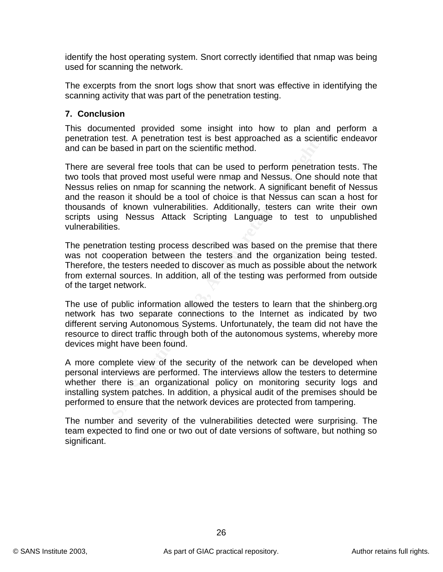identify the host operating system. Snort correctly identified that nmap was being used for scanning the network.

The excerpts from the snort logs show that snort was effective in identifying the scanning activity that was part of the penetration testing.

## **7. Conclusion**

This documented provided some insight into how to plan and perform a penetration test. A penetration test is best approached as a scientific endeavor and can be based in part on the scientific method.

on test. A penetration test is best approached as a scient<br>be based in part on the scientific method.<br>So text are tools that can be used to perform penetratic<br>that proved most useful were nmap and Nessus. One sho<br>belies on There are several free tools that can be used to perform penetration tests. The two tools that proved most useful were nmap and Nessus. One should note that Nessus relies on nmap for scanning the network. A significant benefit of Nessus and the reason it should be a tool of choice is that Nessus can scan a host for thousands of known vulnerabilities. Additionally, testers can write their own scripts using Nessus Attack Scripting Language to test to unpublished vulnerabilities.

The penetration testing process described was based on the premise that there was not cooperation between the testers and the organization being tested. Therefore, the testers needed to discover as much as possible about the network from external sources. In addition, all of the testing was performed from outside of the target network.

The use of public information allowed the testers to learn that the shinberg.org network has two separate connections to the Internet as indicated by two different serving Autonomous Systems. Unfortunately, the team did not have the resource to direct traffic through both of the autonomous systems, whereby more devices might have been found.

A more complete view of the security of the network can be developed when personal interviews are performed. The interviews allow the testers to determine whether there is an organizational policy on monitoring security logs and installing system patches. In addition, a physical audit of the premises should be performed to ensure that the network devices are protected from tampering.

The number and severity of the vulnerabilities detected were surprising. The team expected to find one or two out of date versions of software, but nothing so significant.

26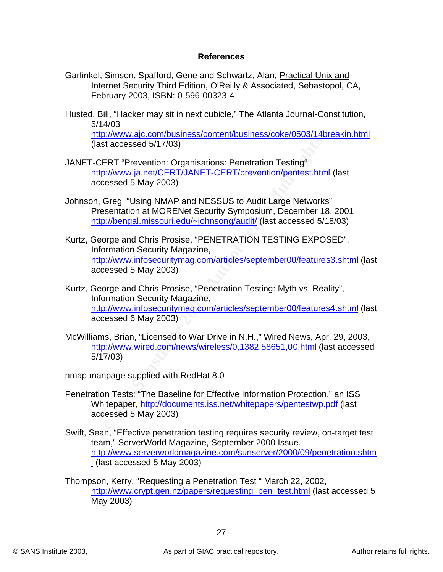### **Key FA27 2F94 9980 FRA47 9989 PA27 2F94 9980 FDB5 06E45 9989 PA27 2F94 9980 E466 PA30 4E46 A169 4E46 A169 4E46 A169 4E46 A169 4E46 06E46 PA30 A169 4E46 A169 4E46 A169 4E46 A169 4E46 A169 4E46 A169 4E46 A169 4E46 A169 4E46**

- Garfinkel, Simson, Spafford, Gene and Schwartz, Alan, Practical Unix and Internet Security Third Edition, O'Reilly & Associated, Sebastopol, CA, February 2003, ISBN: 0-596-00323-4
- Husted, Bill, "Hacker may sit in next cubicle," The Atlanta Journal-Constitution, 5/14/03 http://www.ajc.com/business/content/business/coke/0503/14breakin.html

(last accessed 5/17/03)

- JANET-CERT "Prevention: Organisations: Penetration Testing" http://www.ja.net/CERT/JANET-CERT/prevention/pentest.html (last accessed 5 May 2003)
- Johnson, Greg "Using NMAP and NESSUS to Audit Large Networks" Presentation at MORENet Security Symposium, December 18, 2001 http://bengal.missouri.edu/~johnsong/audit/ (last accessed 5/18/03)
- **EXAMPLE THE CONSTRANS INCONDUCT THEOTER CONSTRANS ISSUES AND THEOTERT T-Prevention:** Organisations: Penetration Testing"<br>
<u>D://www.ia.net/CERT/JANET-CERT/prevention/pentest.htm</u><br>
Cossed 5 May 2003)<br>
Greg "Using NMAP and N Kurtz, George and Chris Prosise, "PENETRATION TESTING EXPOSED", Information Security Magazine, http://www.infosecuritymag.com/articles/september00/features3.shtml (last accessed 5 May 2003)
- Kurtz, George and Chris Prosise, "Penetration Testing: Myth vs. Reality", Information Security Magazine, http://www.infosecuritymag.com/articles/september00/features4.shtml (last accessed 6 May 2003)
- McWilliams, Brian, "Licensed to War Drive in N.H.," Wired News, Apr. 29, 2003, http://www.wired.com/news/wireless/0,1382,58651,00.html (last accessed 5/17/03)

nmap manpage supplied with RedHat 8.0

- Penetration Tests: "The Baseline for Effective Information Protection," an ISS Whitepaper, http://documents.iss.net/whitepapers/pentestwp.pdf (last accessed 5 May 2003)
- Swift, Sean, "Effective penetration testing requires security review, on-target test team," ServerWorld Magazine, September 2000 Issue. http://www.serverworldmagazine.com/sunserver/2000/09/penetration.shtm l (last accessed 5 May 2003)
- Thompson, Kerry, "Requesting a Penetration Test " March 22, 2002, http://www.crypt.gen.nz/papers/requesting\_pen\_test.html (last accessed 5 May 2003)